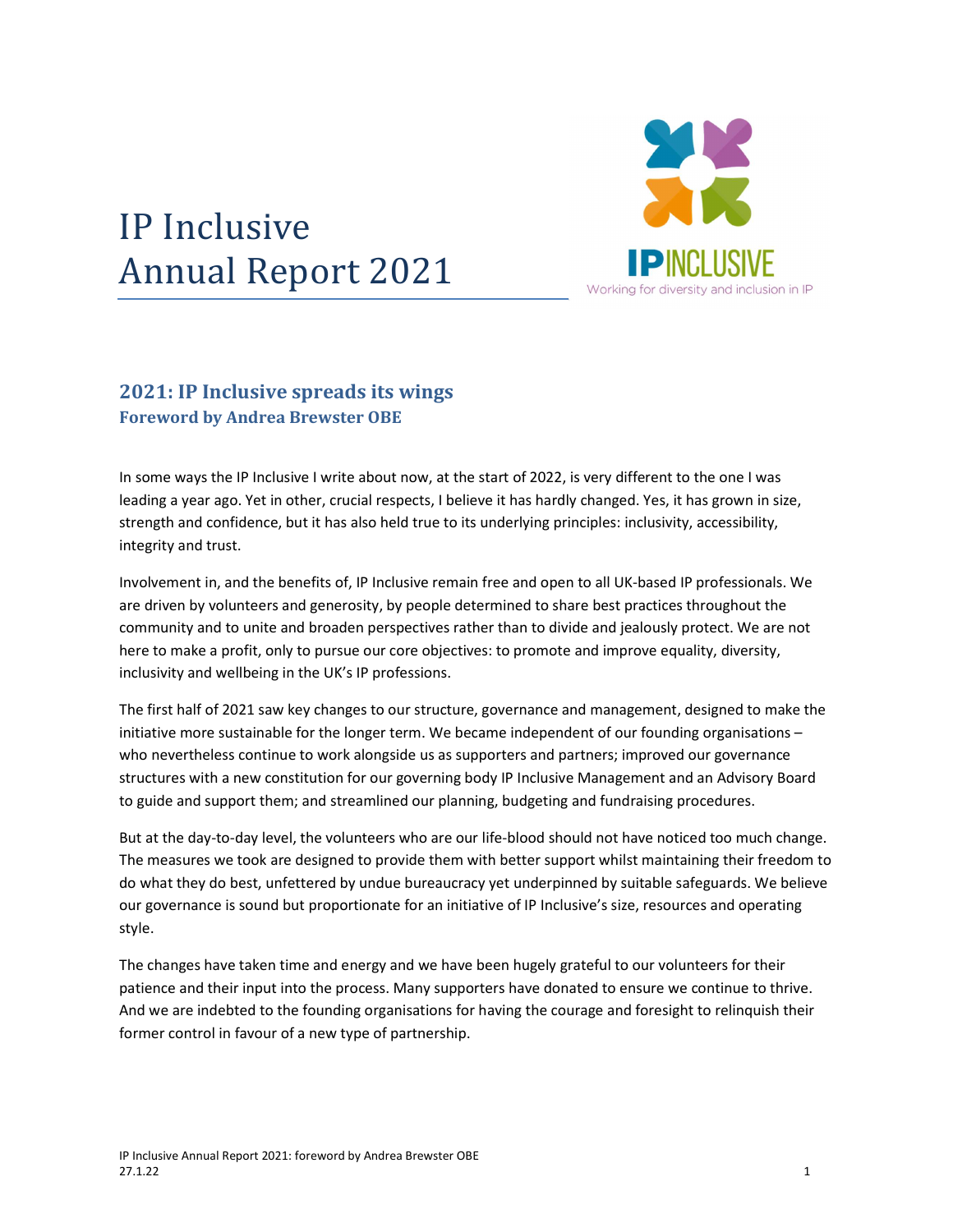## IP Inclusive Annual Report 2021



## 2021: IP Inclusive spreads its wings Foreword by Andrea Brewster OBE

In some ways the IP Inclusive I write about now, at the start of 2022, is very different to the one I was leading a year ago. Yet in other, crucial respects, I believe it has hardly changed. Yes, it has grown in size, strength and confidence, but it has also held true to its underlying principles: inclusivity, accessibility, integrity and trust.

Involvement in, and the benefits of, IP Inclusive remain free and open to all UK-based IP professionals. We are driven by volunteers and generosity, by people determined to share best practices throughout the community and to unite and broaden perspectives rather than to divide and jealously protect. We are not here to make a profit, only to pursue our core objectives: to promote and improve equality, diversity, inclusivity and wellbeing in the UK's IP professions.

The first half of 2021 saw key changes to our structure, governance and management, designed to make the initiative more sustainable for the longer term. We became independent of our founding organisations – who nevertheless continue to work alongside us as supporters and partners; improved our governance structures with a new constitution for our governing body IP Inclusive Management and an Advisory Board to guide and support them; and streamlined our planning, budgeting and fundraising procedures.

But at the day-to-day level, the volunteers who are our life-blood should not have noticed too much change. The measures we took are designed to provide them with better support whilst maintaining their freedom to do what they do best, unfettered by undue bureaucracy yet underpinned by suitable safeguards. We believe our governance is sound but proportionate for an initiative of IP Inclusive's size, resources and operating style.

The changes have taken time and energy and we have been hugely grateful to our volunteers for their patience and their input into the process. Many supporters have donated to ensure we continue to thrive. And we are indebted to the founding organisations for having the courage and foresight to relinquish their former control in favour of a new type of partnership.